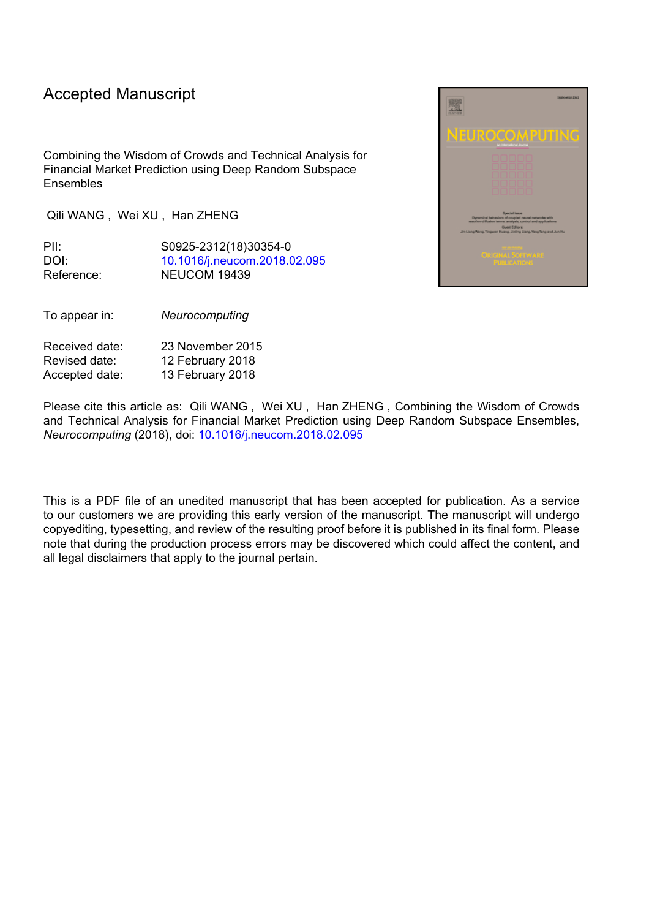## Accepted Manuscript

Combining the Wisdom of Crowds and Technical Analysis for Financial Market Prediction using Deep Random Subspace **Ensembles** 

Qili WANG , Wei XU , Han ZHENG

PII: S0925-2312(18)30354-0 DOI: [10.1016/j.neucom.2018.02.095](https://doi.org/10.1016/j.neucom.2018.02.095) Reference: NEUCOM 19439

To appear in: *Neurocomputing*

| Received date: | 23 November 2015 |
|----------------|------------------|
| Revised date:  | 12 February 2018 |
| Accepted date: | 13 February 2018 |

Please cite this article as: Qili WANG , Wei XU , Han ZHENG , Combining the Wisdom of Crowds and Technical Analysis for Financial Market Prediction using Deep Random Subspace Ensembles, *Neurocomputing* (2018), doi: [10.1016/j.neucom.2018.02.095](https://doi.org/10.1016/j.neucom.2018.02.095)

This is a PDF file of an unedited manuscript that has been accepted for publication. As a service to our customers we are providing this early version of the manuscript. The manuscript will undergo copyediting, typesetting, and review of the resulting proof before it is published in its final form. Please note that during the production process errors may be discovered which could affect the content, and all legal disclaimers that apply to the journal pertain.

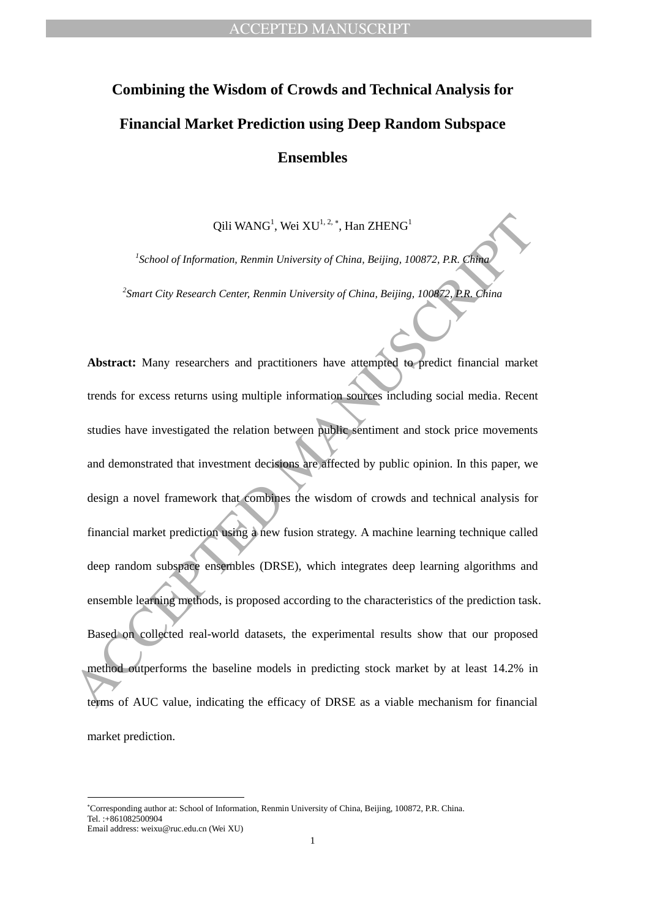## **Combining the Wisdom of Crowds and Technical Analysis for Financial Market Prediction using Deep Random Subspace Ensembles**

Qili WANG<sup>1</sup>, Wei XU<sup>1, 2,</sup> \*, Han ZHENG<sup>1</sup>

*1 School of Information, Renmin University of China, Beijing, 100872, P.R. China 2 Smart City Research Center, Renmin University of China, Beijing, 100872, P.R. China*

Qili WANG<sup>1</sup>, Wei  $\chi$ U<sup>1</sup><sup>12</sup>, Nei RENG<sup>1</sup><br>
<sup>2</sup>School of Information, Remain University of China. Beijing, 100872, P.R. China<br>
<sup>2</sup>Smart City Research Center. Remain University of China. Beijing, 100872, P.R. China<br>
<sup>2</sup>Sm **Abstract:** Many researchers and practitioners have attempted to predict financial market trends for excess returns using multiple information sources including social media. Recent studies have investigated the relation between public sentiment and stock price movements and demonstrated that investment decisions are affected by public opinion. In this paper, we design a novel framework that combines the wisdom of crowds and technical analysis for financial market prediction using a new fusion strategy. A machine learning technique called deep random subspace ensembles (DRSE), which integrates deep learning algorithms and ensemble learning methods, is proposed according to the characteristics of the prediction task. Based on collected real-world datasets, the experimental results show that our proposed method outperforms the baseline models in predicting stock market by at least 14.2% in terms of AUC value, indicating the efficacy of DRSE as a viable mechanism for financial market prediction.

 $\overline{\phantom{a}}$ 

Corresponding author at: School of Information, Renmin University of China, Beijing, 100872, P.R. China. Tel. :+861082500904 Email address: weixu@ruc.edu.cn (Wei XU)